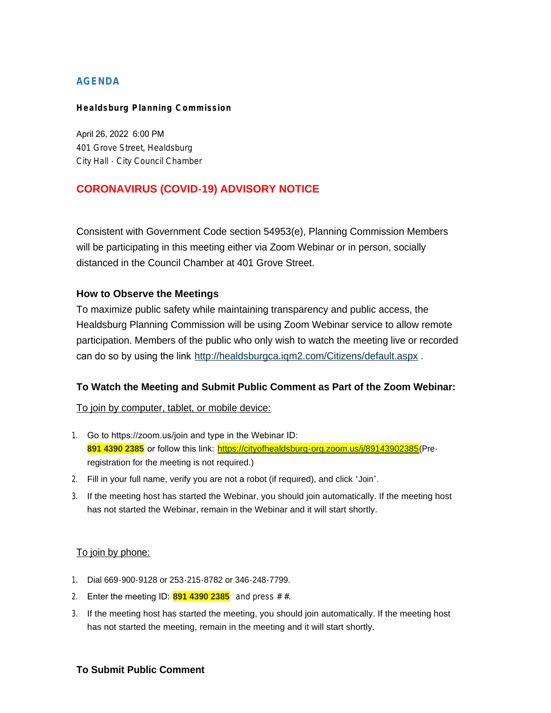# **AGENDA**

#### **Healdsburg Planning Commission**

April 26, 2022 6:00 PM 401 Grove Street, Healdsburg City Hall - City Council Chamber

# **CORONAVIRUS (COVID-19) ADVISORY NOTICE**

Consistent with Government Code section 54953(e), Planning Commission Members will be participating in this meeting either via Zoom Webinar or in person, socially distanced in the Council Chamber at 401 Grove Street.

### **How to Observe the Meetings**

To maximize public safety while maintaining transparency and public access, the Healdsburg Planning Commission will be using Zoom Webinar service to allow remote participation. Members of the public who only wish to watch the meeting live or recorded can do so by using the link <http://healdsburgca.iqm2.com/Citizens/default.aspx> .

# **To Watch the Meeting and Submit Public Comment as Part of the Zoom Webinar:**

### To join by computer, tablet, or mobile device:

- 1. Go to https://zoom.us/join and type in the Webinar ID: **891 4390 2385** or follow this link: <https://cityofhealdsburg-org.zoom.us/j/89143902385>(Preregistration for the meeting is not required.)
- 2. Fill in your full name, verify you are not a robot (if required), and click "Join".
- 3. If the meeting host has started the Webinar, you should join automatically. If the meeting host has not started the Webinar, remain in the Webinar and it will start shortly.

### To join by phone:

- 1. Dial 669-900-9128 or 253-215-8782 or 346-248-7799.
- 2. Enter the meeting ID: **891 4390 2385** and press # #.
- 3. If the meeting host has started the meeting, you should join automatically. If the meeting host has not started the meeting, remain in the meeting and it will start shortly.

### **To Submit Public Comment**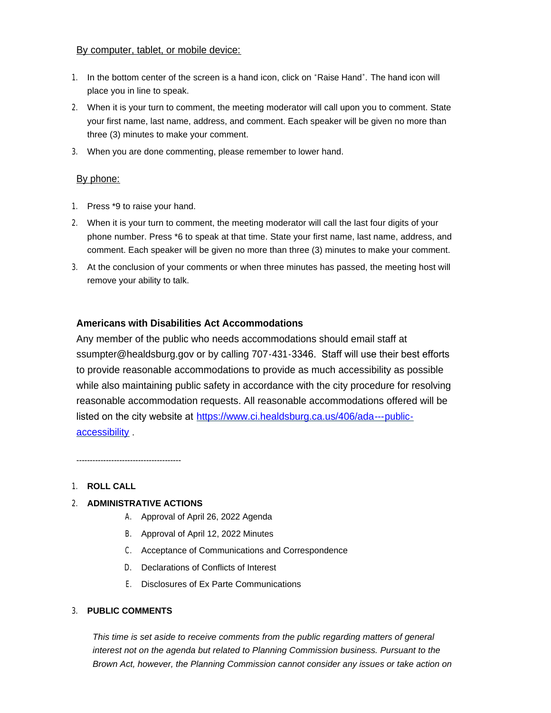### By computer, tablet, or mobile device:

- 1. In the bottom center of the screen is a hand icon, click on "Raise Hand". The hand icon will place you in line to speak.
- 2. When it is your turn to comment, the meeting moderator will call upon you to comment. State your first name, last name, address, and comment. Each speaker will be given no more than three (3) minutes to make your comment.
- 3. When you are done commenting, please remember to lower hand.

### By phone:

- 1. Press \*9 to raise your hand.
- 2. When it is your turn to comment, the meeting moderator will call the last four digits of your phone number. Press \*6 to speak at that time. State your first name, last name, address, and comment. Each speaker will be given no more than three (3) minutes to make your comment.
- 3. At the conclusion of your comments or when three minutes has passed, the meeting host will remove your ability to talk.

### **Americans with Disabilities Act Accommodations**

Any member of the public who needs accommodations should email staff at ssumpter@healdsburg.gov or by calling 707-431-3346. Staff will use their best efforts to provide reasonable accommodations to provide as much accessibility as possible while also maintaining public safety in accordance with the city procedure for resolving reasonable accommodation requests. All reasonable accommodations offered will be listed on the city website at https://www.ci.healdsburg.ca.us/406/ada---publicaccessibility .

#### 1. **ROLL CALL**

### 2. **ADMINISTRATIVE ACTIONS**

- A. Approval of April 26, 2022 Agenda
- B. Approval of April 12, 2022 Minutes
- C. Acceptance of Communications and Correspondence
- D. Declarations of Conflicts of Interest
- E. Disclosures of Ex Parte Communications

#### 3. **PUBLIC COMMENTS**

*This time is set aside to receive comments from the public regarding matters of general interest not on the agenda but related to Planning Commission business. Pursuant to the Brown Act, however, the Planning Commission cannot consider any issues or take action on*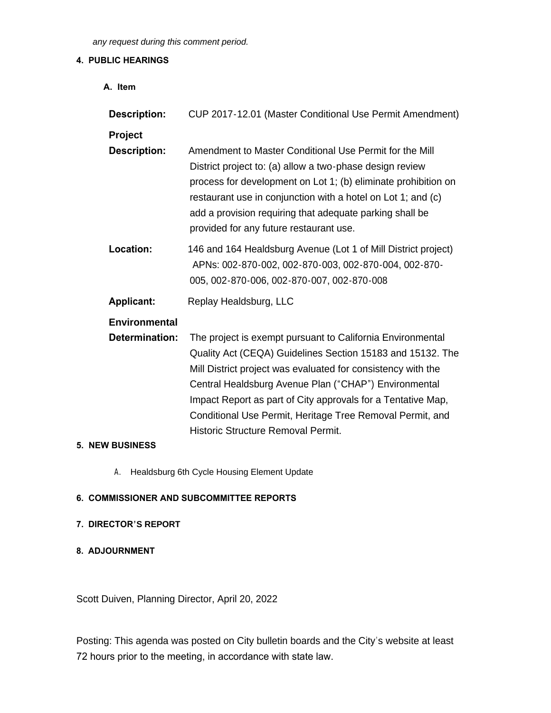*any request during this comment period.*

### **4. PUBLIC HEARINGS**

| A. Item               |                                                                                                                                                                                                                                                                                                                                                                                                                      |
|-----------------------|----------------------------------------------------------------------------------------------------------------------------------------------------------------------------------------------------------------------------------------------------------------------------------------------------------------------------------------------------------------------------------------------------------------------|
| <b>Description:</b>   | CUP 2017-12.01 (Master Conditional Use Permit Amendment)                                                                                                                                                                                                                                                                                                                                                             |
| Project               |                                                                                                                                                                                                                                                                                                                                                                                                                      |
| <b>Description:</b>   | Amendment to Master Conditional Use Permit for the Mill<br>District project to: (a) allow a two-phase design review<br>process for development on Lot 1; (b) eliminate prohibition on<br>restaurant use in conjunction with a hotel on Lot 1; and (c)<br>add a provision requiring that adequate parking shall be<br>provided for any future restaurant use.                                                         |
| Location:             | 146 and 164 Healdsburg Avenue (Lot 1 of Mill District project)<br>APNs: 002-870-002, 002-870-003, 002-870-004, 002-870-<br>005, 002-870-006, 002-870-007, 002-870-008                                                                                                                                                                                                                                                |
| <b>Applicant:</b>     | Replay Healdsburg, LLC                                                                                                                                                                                                                                                                                                                                                                                               |
| <b>Environmental</b>  |                                                                                                                                                                                                                                                                                                                                                                                                                      |
| <b>Determination:</b> | The project is exempt pursuant to California Environmental<br>Quality Act (CEQA) Guidelines Section 15183 and 15132. The<br>Mill District project was evaluated for consistency with the<br>Central Healdsburg Avenue Plan ("CHAP") Environmental<br>Impact Report as part of City approvals for a Tentative Map,<br>Conditional Use Permit, Heritage Tree Removal Permit, and<br>Historic Structure Removal Permit. |

### **5. NEW BUSINESS**

A. Healdsburg 6th Cycle Housing Element Update

# **6. COMMISSIONER AND SUBCOMMITTEE REPORTS**

### **7. DIRECTOR'S REPORT**

**8. ADJOURNMENT**

Scott Duiven, Planning Director, April 20, 2022

Posting: This agenda was posted on City bulletin boards and the City's website at least 72 hours prior to the meeting, in accordance with state law.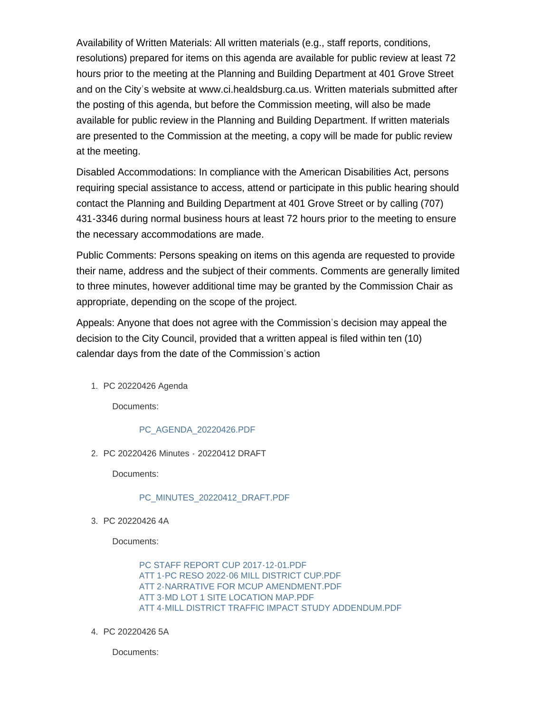Availability of Written Materials: All written materials (e.g., staff reports, conditions, resolutions) prepared for items on this agenda are available for public review at least 72 hours prior to the meeting at the Planning and Building Department at 401 Grove Street and on the City's website at www.ci.healdsburg.ca.us. Written materials submitted after the posting of this agenda, but before the Commission meeting, will also be made available for public review in the Planning and Building Department. If written materials are presented to the Commission at the meeting, a copy will be made for public review at the meeting.

Disabled Accommodations: In compliance with the American Disabilities Act, persons requiring special assistance to access, attend or participate in this public hearing should contact the Planning and Building Department at 401 Grove Street or by calling (707) 431-3346 during normal business hours at least 72 hours prior to the meeting to ensure the necessary accommodations are made.

Public Comments: Persons speaking on items on this agenda are requested to provide their name, address and the subject of their comments. Comments are generally limited to three minutes, however additional time may be granted by the Commission Chair as appropriate, depending on the scope of the project.

Appeals: Anyone that does not agree with the Commission's decision may appeal the decision to the City Council, provided that a written appeal is filed within ten (10) calendar days from the date of the Commission's action

PC 20220426 Agenda 1.

Documents:

### [PC\\_AGENDA\\_20220426.PDF](https://healdsburg.gov/AgendaCenter/ViewFile/Item/3149?fileID=24164)

PC 20220426 Minutes - 20220412 DRAFT 2.

Documents:

### [PC\\_MINUTES\\_20220412\\_DRAFT.PDF](https://healdsburg.gov/AgendaCenter/ViewFile/Item/3150?fileID=24165)

PC 20220426 4A 3.

Documents:

[PC STAFF REPORT CUP 2017-12-01.PDF](https://healdsburg.gov/AgendaCenter/ViewFile/Item/3151?fileID=24169) [ATT 1-PC RESO 2022-06 MILL DISTRICT CUP.PDF](https://healdsburg.gov/AgendaCenter/ViewFile/Item/3151?fileID=24170) [ATT 2-NARRATIVE FOR MCUP AMENDMENT.PDF](https://healdsburg.gov/AgendaCenter/ViewFile/Item/3151?fileID=24166) [ATT 3-MD LOT 1 SITE LOCATION MAP.PDF](https://healdsburg.gov/AgendaCenter/ViewFile/Item/3151?fileID=24167) [ATT 4-MILL DISTRICT TRAFFIC IMPACT STUDY ADDENDUM.PDF](https://healdsburg.gov/AgendaCenter/ViewFile/Item/3151?fileID=24168)

PC 20220426 5A 4.

Documents: